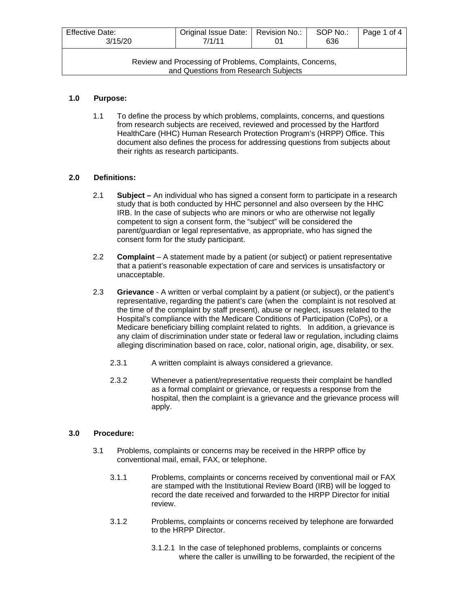| <b>Effective Date:</b><br>3/15/20                                                                | Original Issue Date:   Revision No.:  <br>7/1/11 |  | SOP No.:<br>636 | Page 1 of 4 |
|--------------------------------------------------------------------------------------------------|--------------------------------------------------|--|-----------------|-------------|
| Review and Processing of Problems, Complaints, Concerns,<br>and Questions from Research Subjects |                                                  |  |                 |             |

### **1.0 Purpose:**

1.1 To define the process by which problems, complaints, concerns, and questions from research subjects are received, reviewed and processed by the Hartford HealthCare (HHC) Human Research Protection Program's (HRPP) Office. This document also defines the process for addressing questions from subjects about their rights as research participants.

## **2.0 Definitions:**

- 2.1 **Subject –** An individual who has signed a consent form to participate in a research study that is both conducted by HHC personnel and also overseen by the HHC IRB. In the case of subjects who are minors or who are otherwise not legally competent to sign a consent form, the "subject" will be considered the parent/guardian or legal representative, as appropriate, who has signed the consent form for the study participant.
- 2.2 **Complaint** A statement made by a patient (or subject) or patient representative that a patient's reasonable expectation of care and services is unsatisfactory or unacceptable.
- 2.3 **Grievance** A written or verbal complaint by a patient (or subject), or the patient's representative, regarding the patient's care (when the complaint is not resolved at the time of the complaint by staff present), abuse or neglect, issues related to the Hospital's compliance with the Medicare Conditions of Participation (CoPs), or a Medicare beneficiary billing complaint related to rights. In addition, a grievance is any claim of discrimination under state or federal law or regulation, including claims alleging discrimination based on race, color, national origin, age, disability, or sex.
	- 2.3.1 A written complaint is always considered a grievance.
	- 2.3.2 Whenever a patient/representative requests their complaint be handled as a formal complaint or grievance, or requests a response from the hospital, then the complaint is a grievance and the grievance process will apply.

### **3.0 Procedure:**

- 3.1 Problems, complaints or concerns may be received in the HRPP office by conventional mail, email, FAX, or telephone.
	- 3.1.1 Problems, complaints or concerns received by conventional mail or FAX are stamped with the Institutional Review Board (IRB) will be logged to record the date received and forwarded to the HRPP Director for initial review.
	- 3.1.2 Problems, complaints or concerns received by telephone are forwarded to the HRPP Director.
		- 3.1.2.1 In the case of telephoned problems, complaints or concerns where the caller is unwilling to be forwarded, the recipient of the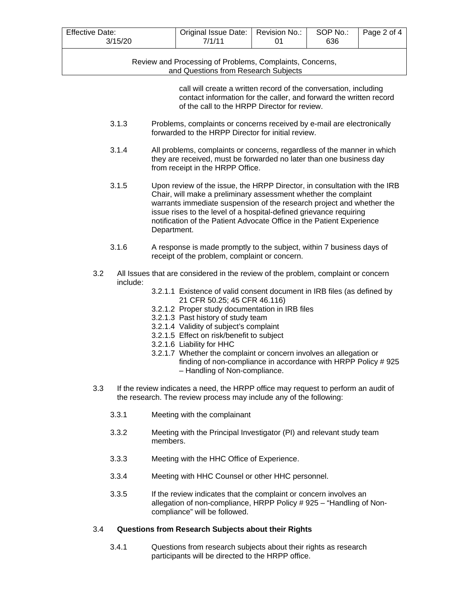| <b>Effective Date:</b><br>3/15/20 |                                                                                                                                                                                                                                                                                                                                                                                              |          | Original Issue Date:<br>7/1/11                                                                                                                                                                                                                                                                                                                                                                                                                                                                                                                                                     | Revision No.:<br>01 | SOP No.:<br>636 | Page 2 of 4 |
|-----------------------------------|----------------------------------------------------------------------------------------------------------------------------------------------------------------------------------------------------------------------------------------------------------------------------------------------------------------------------------------------------------------------------------------------|----------|------------------------------------------------------------------------------------------------------------------------------------------------------------------------------------------------------------------------------------------------------------------------------------------------------------------------------------------------------------------------------------------------------------------------------------------------------------------------------------------------------------------------------------------------------------------------------------|---------------------|-----------------|-------------|
|                                   |                                                                                                                                                                                                                                                                                                                                                                                              |          |                                                                                                                                                                                                                                                                                                                                                                                                                                                                                                                                                                                    |                     |                 |             |
|                                   | Review and Processing of Problems, Complaints, Concerns,<br>and Questions from Research Subjects                                                                                                                                                                                                                                                                                             |          |                                                                                                                                                                                                                                                                                                                                                                                                                                                                                                                                                                                    |                     |                 |             |
|                                   |                                                                                                                                                                                                                                                                                                                                                                                              |          | call will create a written record of the conversation, including<br>contact information for the caller, and forward the written record<br>of the call to the HRPP Director for review.                                                                                                                                                                                                                                                                                                                                                                                             |                     |                 |             |
|                                   | 3.1.3                                                                                                                                                                                                                                                                                                                                                                                        |          | Problems, complaints or concerns received by e-mail are electronically<br>forwarded to the HRPP Director for initial review.                                                                                                                                                                                                                                                                                                                                                                                                                                                       |                     |                 |             |
|                                   | 3.1.4<br>All problems, complaints or concerns, regardless of the manner in which<br>they are received, must be forwarded no later than one business day<br>from receipt in the HRPP Office.                                                                                                                                                                                                  |          |                                                                                                                                                                                                                                                                                                                                                                                                                                                                                                                                                                                    |                     |                 |             |
|                                   | 3.1.5<br>Upon review of the issue, the HRPP Director, in consultation with the IRB<br>Chair, will make a preliminary assessment whether the complaint<br>warrants immediate suspension of the research project and whether the<br>issue rises to the level of a hospital-defined grievance requiring<br>notification of the Patient Advocate Office in the Patient Experience<br>Department. |          |                                                                                                                                                                                                                                                                                                                                                                                                                                                                                                                                                                                    |                     |                 |             |
|                                   | 3.1.6                                                                                                                                                                                                                                                                                                                                                                                        |          | A response is made promptly to the subject, within 7 business days of<br>receipt of the problem, complaint or concern.                                                                                                                                                                                                                                                                                                                                                                                                                                                             |                     |                 |             |
| 3.2                               | include:                                                                                                                                                                                                                                                                                                                                                                                     |          | All Issues that are considered in the review of the problem, complaint or concern<br>3.2.1.1 Existence of valid consent document in IRB files (as defined by<br>21 CFR 50.25; 45 CFR 46.116)<br>3.2.1.2 Proper study documentation in IRB files<br>3.2.1.3 Past history of study team<br>3.2.1.4 Validity of subject's complaint<br>3.2.1.5 Effect on risk/benefit to subject<br>3.2.1.6 Liability for HHC<br>3.2.1.7 Whether the complaint or concern involves an allegation or<br>finding of non-compliance in accordance with HRPP Policy #925<br>- Handling of Non-compliance. |                     |                 |             |
| 3.3                               |                                                                                                                                                                                                                                                                                                                                                                                              |          | If the review indicates a need, the HRPP office may request to perform an audit of<br>the research. The review process may include any of the following:                                                                                                                                                                                                                                                                                                                                                                                                                           |                     |                 |             |
|                                   | 3.3.1                                                                                                                                                                                                                                                                                                                                                                                        |          | Meeting with the complainant                                                                                                                                                                                                                                                                                                                                                                                                                                                                                                                                                       |                     |                 |             |
|                                   | 3.3.2                                                                                                                                                                                                                                                                                                                                                                                        | members. | Meeting with the Principal Investigator (PI) and relevant study team                                                                                                                                                                                                                                                                                                                                                                                                                                                                                                               |                     |                 |             |
|                                   | 3.3.3                                                                                                                                                                                                                                                                                                                                                                                        |          | Meeting with the HHC Office of Experience.                                                                                                                                                                                                                                                                                                                                                                                                                                                                                                                                         |                     |                 |             |
|                                   | 3.3.4                                                                                                                                                                                                                                                                                                                                                                                        |          | Meeting with HHC Counsel or other HHC personnel.                                                                                                                                                                                                                                                                                                                                                                                                                                                                                                                                   |                     |                 |             |
|                                   | 3.3.5                                                                                                                                                                                                                                                                                                                                                                                        |          | If the review indicates that the complaint or concern involves an<br>allegation of non-compliance, HRPP Policy # 925 - "Handling of Non-<br>compliance" will be followed.                                                                                                                                                                                                                                                                                                                                                                                                          |                     |                 |             |
|                                   |                                                                                                                                                                                                                                                                                                                                                                                              |          |                                                                                                                                                                                                                                                                                                                                                                                                                                                                                                                                                                                    |                     |                 |             |

# 3.4 **Questions from Research Subjects about their Rights**

3.4.1 Questions from research subjects about their rights as research participants will be directed to the HRPP office.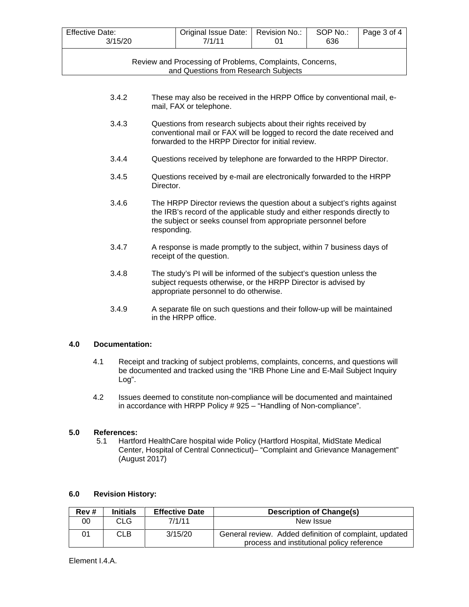| Effective Date:<br>3/15/20                                                                       | Original Issue Date:   Revision No.:  <br>7/1/11 |  | SOP No.:<br>636 | Page 3 of 4 |
|--------------------------------------------------------------------------------------------------|--------------------------------------------------|--|-----------------|-------------|
| Review and Processing of Problems, Complaints, Concerns,<br>and Questions from Research Subjects |                                                  |  |                 |             |
|                                                                                                  |                                                  |  |                 |             |

- 3.4.2 These may also be received in the HRPP Office by conventional mail, email, FAX or telephone.
- 3.4.3 Questions from research subjects about their rights received by conventional mail or FAX will be logged to record the date received and forwarded to the HRPP Director for initial review.
- 3.4.4 Questions received by telephone are forwarded to the HRPP Director.
- 3.4.5 Questions received by e-mail are electronically forwarded to the HRPP Director.
- 3.4.6 The HRPP Director reviews the question about a subject's rights against the IRB's record of the applicable study and either responds directly to the subject or seeks counsel from appropriate personnel before responding.
- 3.4.7 A response is made promptly to the subject, within 7 business days of receipt of the question.
- 3.4.8 The study's PI will be informed of the subject's question unless the subject requests otherwise, or the HRPP Director is advised by appropriate personnel to do otherwise.
- 3.4.9 A separate file on such questions and their follow-up will be maintained in the HRPP office.

### **4.0 Documentation:**

- 4.1 Receipt and tracking of subject problems, complaints, concerns, and questions will be documented and tracked using the "IRB Phone Line and E-Mail Subject Inquiry Log".
- 4.2 Issues deemed to constitute non-compliance will be documented and maintained in accordance with HRPP Policy # 925 – "Handling of Non-compliance".

### **5.0 References:**

5.1 Hartford HealthCare hospital wide Policy (Hartford Hospital, MidState Medical Center, Hospital of Central Connecticut)– "Complaint and Grievance Management" (August 2017)

| 6.0 | <b>Revision History:</b> |  |
|-----|--------------------------|--|
|-----|--------------------------|--|

| Rev # | <b>Initials</b> | <b>Effective Date</b> | <b>Description of Change(s)</b>                                                                      |
|-------|-----------------|-----------------------|------------------------------------------------------------------------------------------------------|
| 00    | CLG             | 7/1/11                | New Issue                                                                                            |
| 01    | CLB             | 3/15/20               | General review. Added definition of complaint, updated<br>process and institutional policy reference |